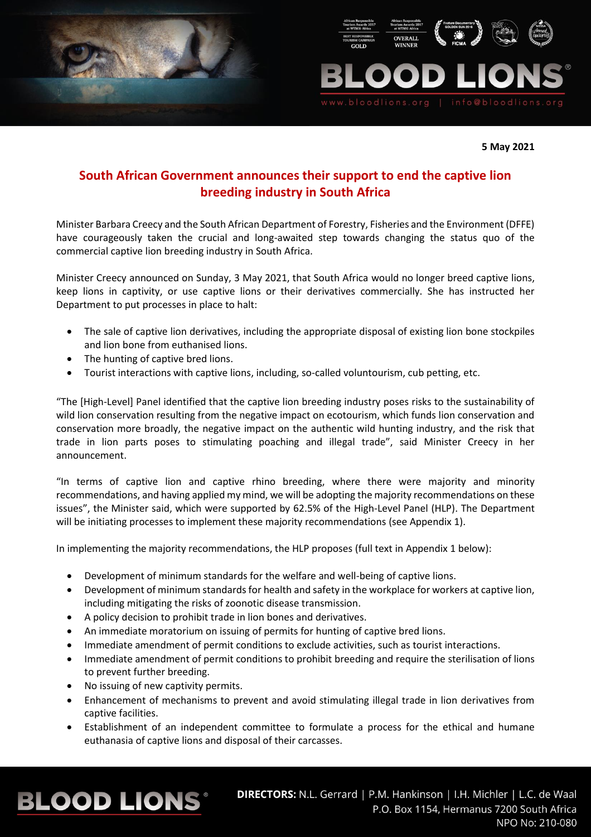



**5 May 2021**

## **South African Government announces their support to end the captive lion breeding industry in South Africa**

Minister Barbara Creecy and the South African Department of Forestry, Fisheries and the Environment (DFFE) have courageously taken the crucial and long-awaited step towards changing the status quo of the commercial captive lion breeding industry in South Africa.

Minister Creecy announced on Sunday, 3 May 2021, that South Africa would no longer breed captive lions, keep lions in captivity, or use captive lions or their derivatives commercially. She has instructed her Department to put processes in place to halt:

- The sale of captive lion derivatives, including the appropriate disposal of existing lion bone stockpiles and lion bone from euthanised lions.
- The hunting of captive bred lions.
- Tourist interactions with captive lions, including, so-called voluntourism, cub petting, etc.

"The [High-Level] Panel identified that the captive lion breeding industry poses risks to the sustainability of wild lion conservation resulting from the negative impact on ecotourism, which funds lion conservation and conservation more broadly, the negative impact on the authentic wild hunting industry, and the risk that trade in lion parts poses to stimulating poaching and illegal trade", said Minister Creecy in her announcement.

"In terms of captive lion and captive rhino breeding, where there were majority and minority recommendations, and having applied my mind, we will be adopting the majority recommendations on these issues", the Minister said, which were supported by 62.5% of the High-Level Panel (HLP). The Department will be initiating processes to implement these majority recommendations (see Appendix 1).

In implementing the majority recommendations, the HLP proposes (full text in Appendix 1 below):

- Development of minimum standards for the welfare and well-being of captive lions.
- Development of minimum standards for health and safety in the workplace for workers at captive lion, including mitigating the risks of zoonotic disease transmission.
- A policy decision to prohibit trade in lion bones and derivatives.
- An immediate moratorium on issuing of permits for hunting of captive bred lions.
- Immediate amendment of permit conditions to exclude activities, such as tourist interactions.
- Immediate amendment of permit conditions to prohibit breeding and require the sterilisation of lions to prevent further breeding.
- No issuing of new captivity permits.
- Enhancement of mechanisms to prevent and avoid stimulating illegal trade in lion derivatives from captive facilities.
- Establishment of an independent committee to formulate a process for the ethical and humane euthanasia of captive lions and disposal of their carcasses.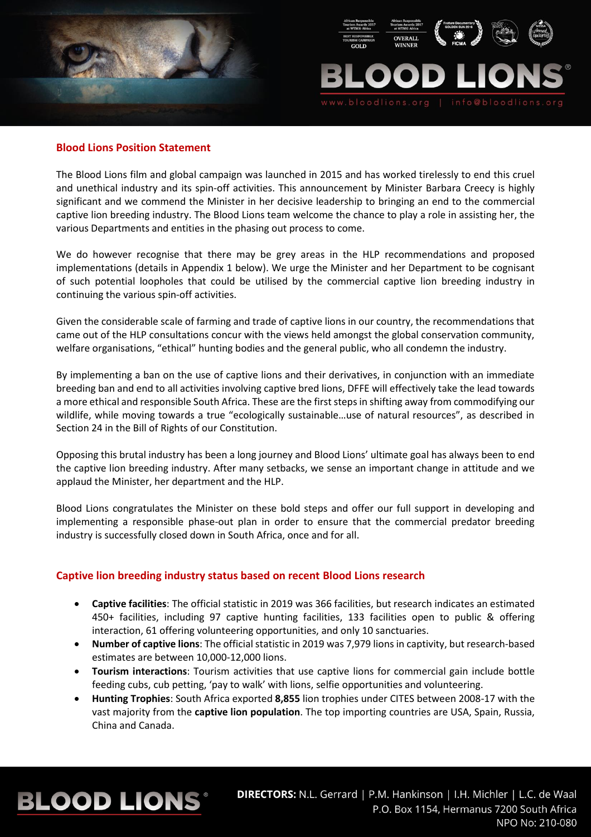



### **Blood Lions Position Statement**

The Blood Lions film and global campaign was launched in 2015 and has worked tirelessly to end this cruel and unethical industry and its spin-off activities. This announcement by Minister Barbara Creecy is highly significant and we commend the Minister in her decisive leadership to bringing an end to the commercial captive lion breeding industry. The Blood Lions team welcome the chance to play a role in assisting her, the various Departments and entities in the phasing out process to come.

We do however recognise that there may be grey areas in the HLP recommendations and proposed implementations (details in Appendix 1 below). We urge the Minister and her Department to be cognisant of such potential loopholes that could be utilised by the commercial captive lion breeding industry in continuing the various spin-off activities.

Given the considerable scale of farming and trade of captive lions in our country, the recommendations that came out of the HLP consultations concur with the views held amongst the global conservation community, welfare organisations, "ethical" hunting bodies and the general public, who all condemn the industry.

By implementing a ban on the use of captive lions and their derivatives, in conjunction with an immediate breeding ban and end to all activities involving captive bred lions, DFFE will effectively take the lead towards a more ethical and responsible South Africa. These are the first steps in shifting away from commodifying our wildlife, while moving towards a true "ecologically sustainable…use of natural resources", as described in Section 24 in the Bill of Rights of our Constitution.

Opposing this brutal industry has been a long journey and Blood Lions' ultimate goal has always been to end the captive lion breeding industry. After many setbacks, we sense an important change in attitude and we applaud the Minister, her department and the HLP.

Blood Lions congratulates the Minister on these bold steps and offer our full support in developing and implementing a responsible phase-out plan in order to ensure that the commercial predator breeding industry is successfully closed down in South Africa, once and for all.

## **Captive lion breeding industry status based on recent Blood Lions research**

- **Captive facilities**: The official statistic in 2019 was 366 facilities, but research indicates an estimated 450+ facilities, including 97 captive hunting facilities, 133 facilities open to public & offering interaction, 61 offering volunteering opportunities, and only 10 sanctuaries.
- **Number of captive lions**: The official statistic in 2019 was 7,979 lions in captivity, but research-based estimates are between 10,000-12,000 lions.
- **Tourism interactions**: Tourism activities that use captive lions for commercial gain include bottle feeding cubs, cub petting, 'pay to walk' with lions, selfie opportunities and volunteering.
- **Hunting Trophies**: South Africa exported **8,855** lion trophies under CITES between 2008-17 with the vast majority from the **captive lion population**. The top importing countries are USA, Spain, Russia, China and Canada.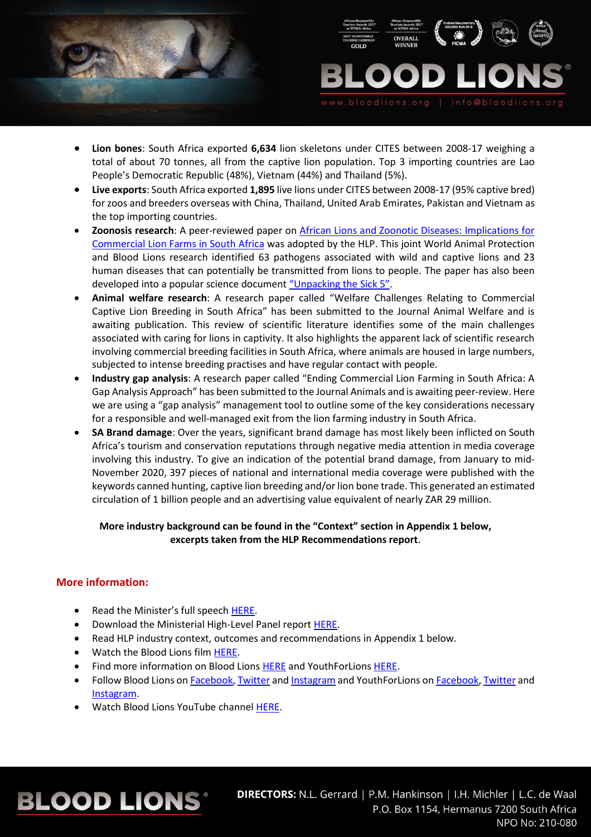



- **Lion bones**: South Africa exported **6,634** lion skeletons under CITES between 2008-17 weighing a total of about 70 tonnes, all from the captive lion population. Top 3 importing countries are Lao People's Democratic Republic (48%), Vietnam (44%) and Thailand (5%).
- **Live exports**: South Africa exported **1,895** live lions under CITES between 2008-17 (95% captive bred) for zoos and breeders overseas with China, Thailand, United Arab Emirates, Pakistan and Vietnam as the top importing countries.
- **Zoonosis research**: A peer-reviewed paper on [African Lions and Zoonotic Diseases: Implications for](https://www.mdpi.com/2076-2615/10/9/1692)  [Commercial Lion Farms in South Africa](https://www.mdpi.com/2076-2615/10/9/1692) was adopted by the HLP. This joint World Animal Protection and Blood Lions research identified 63 pathogens associated with wild and captive lions and 23 human diseases that can potentially be transmitted from lions to people. The paper has also been developed into a popular science document ["Unpacking the Sick 5"](http://bloodlions.org/wp-content/uploads/2021/04/The-Sick-5-Campaign-Document.pdf).
- **Animal welfare research**: A research paper called "Welfare Challenges Relating to Commercial Captive Lion Breeding in South Africa" has been submitted to the Journal Animal Welfare and is awaiting publication. This review of scientific literature identifies some of the main challenges associated with caring for lions in captivity. It also highlights the apparent lack of scientific research involving commercial breeding facilities in South Africa, where animals are housed in large numbers, subjected to intense breeding practises and have regular contact with people.
- **Industry gap analysis**: A research paper called "Ending Commercial Lion Farming in South Africa: A Gap Analysis Approach" has been submitted to the Journal Animals and is awaiting peer-review. Here we are using a "gap analysis" management tool to outline some of the key considerations necessary for a responsible and well-managed exit from the lion farming industry in South Africa.
- **SA Brand damage**: Over the years, significant brand damage has most likely been inflicted on South Africa's tourism and conservation reputations through negative media attention in media coverage involving this industry. To give an indication of the potential brand damage, from January to mid-November 2020, 397 pieces of national and international media coverage were published with the keywords canned hunting, captive lion breeding and/or lion bone trade. This generated an estimated circulation of 1 billion people and an advertising value equivalent of nearly ZAR 29 million.

## **More industry background can be found in the "Context" section in Appendix 1 below, excerpts taken from the HLP Recommendations report**.

## **More information:**

**BLOOD LIONS®** 

- Read the Minister's full speech [HERE.](https://www.environment.gov.za/speeches/creecy_releaseofhlpreport_pretoria)
- Download the Ministerial High-Level Panel report [HERE.](https://www.environment.gov.za/sites/default/files/reports/2020-12-22_high-levelpanel_report.pdf)
- Read HLP industry context, outcomes and recommendations in Appendix 1 below.
- Watch the Blood Lions film [HERE.](https://bloodlions.org/watch-the-film/)
- Find more information on Blood Lions [HERE](https://bloodlions.org/) and YouthForLions [HERE.](https://youthforlions.org/)
- Follow Blood Lions o[n Facebook,](https://www.facebook.com/YouthForLions/) [Twitter](https://twitter.com/youthforlions) and [Instagram](https://www.instagram.com/bloodlionsofficial/) and YouthForLions on Facebook, Twitter and [Instagram.](https://www.instagram.com/youthforlions/)
- Watch Blood Lions YouTube channel [HERE.](https://www.youtube.com/channel/UCaTUI9LSR_6KVfKyBZlDcdg)

## DIRECTORS: N.L. Gerrard | P.M. Hankinson | I.H. Michler | L.C. de Waal P.O. Box 1154, Hermanus 7200 South Africa NPO No: 210-080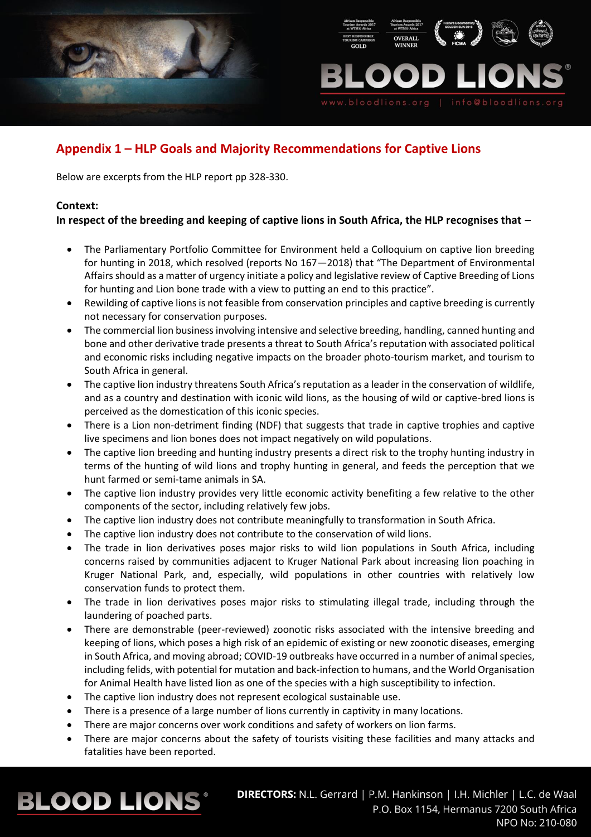



## **Appendix 1 – HLP Goals and Majority Recommendations for Captive Lions**

Below are excerpts from the HLP report pp 328-330.

## **Context:**

## **In respect of the breeding and keeping of captive lions in South Africa, the HLP recognises that –**

- The Parliamentary Portfolio Committee for Environment held a Colloquium on captive lion breeding for hunting in 2018, which resolved (reports No 167—2018) that "The Department of Environmental Affairs should as a matter of urgency initiate a policy and legislative review of Captive Breeding of Lions for hunting and Lion bone trade with a view to putting an end to this practice".
- Rewilding of captive lions is not feasible from conservation principles and captive breeding is currently not necessary for conservation purposes.
- The commercial lion business involving intensive and selective breeding, handling, canned hunting and bone and other derivative trade presents a threat to South Africa's reputation with associated political and economic risks including negative impacts on the broader photo-tourism market, and tourism to South Africa in general.
- The captive lion industry threatens South Africa's reputation as a leader in the conservation of wildlife, and as a country and destination with iconic wild lions, as the housing of wild or captive-bred lions is perceived as the domestication of this iconic species.
- There is a Lion non-detriment finding (NDF) that suggests that trade in captive trophies and captive live specimens and lion bones does not impact negatively on wild populations.
- The captive lion breeding and hunting industry presents a direct risk to the trophy hunting industry in terms of the hunting of wild lions and trophy hunting in general, and feeds the perception that we hunt farmed or semi-tame animals in SA.
- The captive lion industry provides very little economic activity benefiting a few relative to the other components of the sector, including relatively few jobs.
- The captive lion industry does not contribute meaningfully to transformation in South Africa.
- The captive lion industry does not contribute to the conservation of wild lions.
- The trade in lion derivatives poses major risks to wild lion populations in South Africa, including concerns raised by communities adjacent to Kruger National Park about increasing lion poaching in Kruger National Park, and, especially, wild populations in other countries with relatively low conservation funds to protect them.
- The trade in lion derivatives poses major risks to stimulating illegal trade, including through the laundering of poached parts.
- There are demonstrable (peer-reviewed) zoonotic risks associated with the intensive breeding and keeping of lions, which poses a high risk of an epidemic of existing or new zoonotic diseases, emerging in South Africa, and moving abroad; COVID-19 outbreaks have occurred in a number of animal species, including felids, with potential for mutation and back-infection to humans, and the World Organisation for Animal Health have listed lion as one of the species with a high susceptibility to infection.
- The captive lion industry does not represent ecological sustainable use.
- There is a presence of a large number of lions currently in captivity in many locations.
- There are major concerns over work conditions and safety of workers on lion farms.
- There are major concerns about the safety of tourists visiting these facilities and many attacks and fatalities have been reported.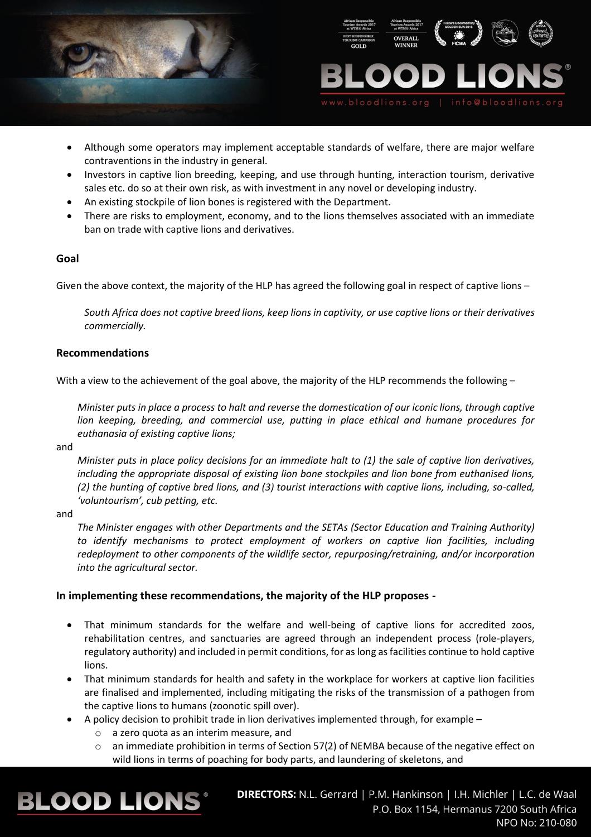



- Although some operators may implement acceptable standards of welfare, there are major welfare contraventions in the industry in general.
- Investors in captive lion breeding, keeping, and use through hunting, interaction tourism, derivative sales etc. do so at their own risk, as with investment in any novel or developing industry.
- An existing stockpile of lion bones is registered with the Department.
- There are risks to employment, economy, and to the lions themselves associated with an immediate ban on trade with captive lions and derivatives.

#### **Goal**

Given the above context, the majority of the HLP has agreed the following goal in respect of captive lions –

*South Africa does not captive breed lions, keep lions in captivity, or use captive lions or their derivatives commercially.* 

#### **Recommendations**

With a view to the achievement of the goal above, the majority of the HLP recommends the following -

*Minister puts in place a process to halt and reverse the domestication of our iconic lions, through captive lion keeping, breeding, and commercial use, putting in place ethical and humane procedures for euthanasia of existing captive lions;* 

and

*Minister puts in place policy decisions for an immediate halt to (1) the sale of captive lion derivatives, including the appropriate disposal of existing lion bone stockpiles and lion bone from euthanised lions, (2) the hunting of captive bred lions, and (3) tourist interactions with captive lions, including, so-called, 'voluntourism', cub petting, etc.* 

and

*The Minister engages with other Departments and the SETAs (Sector Education and Training Authority)* to identify mechanisms to protect employment of workers on captive lion facilities, including *redeployment to other components of the wildlife sector, repurposing/retraining, and/or incorporation into the agricultural sector.*

## **In implementing these recommendations, the majority of the HLP proposes -**

- That minimum standards for the welfare and well-being of captive lions for accredited zoos, rehabilitation centres, and sanctuaries are agreed through an independent process (role-players, regulatory authority) and included in permit conditions, for as long as facilities continue to hold captive lions.
- That minimum standards for health and safety in the workplace for workers at captive lion facilities are finalised and implemented, including mitigating the risks of the transmission of a pathogen from the captive lions to humans (zoonotic spill over).
- A policy decision to prohibit trade in lion derivatives implemented through, for example
	- o a zero quota as an interim measure, and
	- $\circ$  an immediate prohibition in terms of Section 57(2) of NEMBA because of the negative effect on wild lions in terms of poaching for body parts, and laundering of skeletons, and